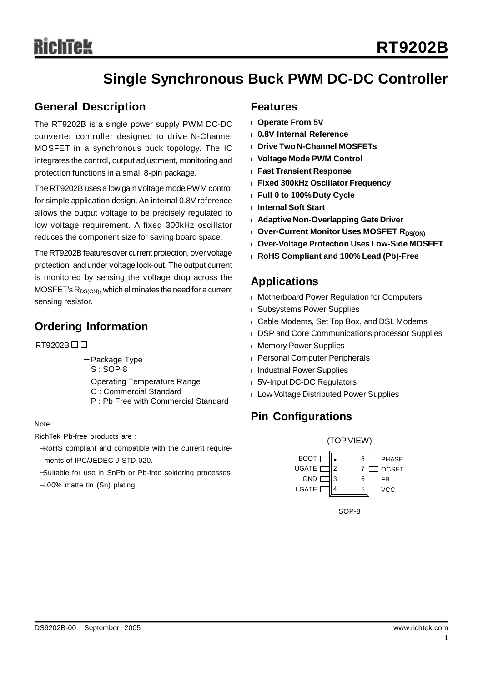# **Single Synchronous Buck PWM DC-DC Controller**

### **General Description**

The RT9202B is a single power supply PWM DC-DC converter controller designed to drive N-Channel MOSFET in a synchronous buck topology. The IC integrates the control, output adjustment, monitoring and protection functions in a small 8-pin package.

The RT9202B uses a low gain voltage mode PWM control for simple application design. An internal 0.8V reference allows the output voltage to be precisely regulated to low voltage requirement. A fixed 300kHz oscillator reduces the component size for saving board space.

The RT9202B features over current protection, over voltage protection, and under voltage lock-out. The output current is monitored by sensing the voltage drop across the  $MOSFET's R<sub>DS(ON)</sub>, which eliminates the need for a current$ sensing resistor.

## **Ordering Information**

RT9202B口口

Package Type S : SOP-8

Operating Temperature Range

- C : Commercial Standard
- P : Pb Free with Commercial Standard

Note :

RichTek Pb-free products are :

- −RoHS compliant and compatible with the current requirements of IPC/JEDEC J-STD-020.
- −Suitable for use in SnPb or Pb-free soldering processes.

−100% matte tin (Sn) plating.

### **Features**

- **<sup>l</sup> Operate From 5V**
- **<sup>l</sup> 0.8V Internal Reference**
- **<sup>l</sup> Drive Two N-Channel MOSFETs**
- **<sup>l</sup> Voltage Mode PWM Control**
- **<sup>l</sup> Fast Transient Response**
- **<sup>l</sup> Fixed 300kHz Oscillator Frequency**
- **<sup>l</sup> Full 0 to 100% Duty Cycle**
- **<sup>l</sup> Internal Soft Start**
- **<sup>l</sup> Adaptive Non-Overlapping Gate Driver**
- **l** Over-Current Monitor Uses MOSFET R<sub>DS(ON)</sub>
- **<sup>l</sup> Over-Voltage Protection Uses Low-Side MOSFET**
- **<sup>l</sup> RoHS Compliant and 100% Lead (Pb)-Free**

## **Applications**

- <sup>l</sup> Motherboard Power Regulation for Computers
- <sup>l</sup> Subsystems Power Supplies
- <sup>l</sup> Cable Modems, Set Top Box, and DSL Modems
- **I DSP and Core Communications processor Supplies**
- **I** Memory Power Supplies
- <sup>l</sup> Personal Computer Peripherals
- <sup>l</sup> Industrial Power Supplies
- <sup>l</sup> 5V-Input DC-DC Regulators
- <sup>l</sup> Low Voltage Distributed Power Supplies

# **Pin Configurations**



SOP-8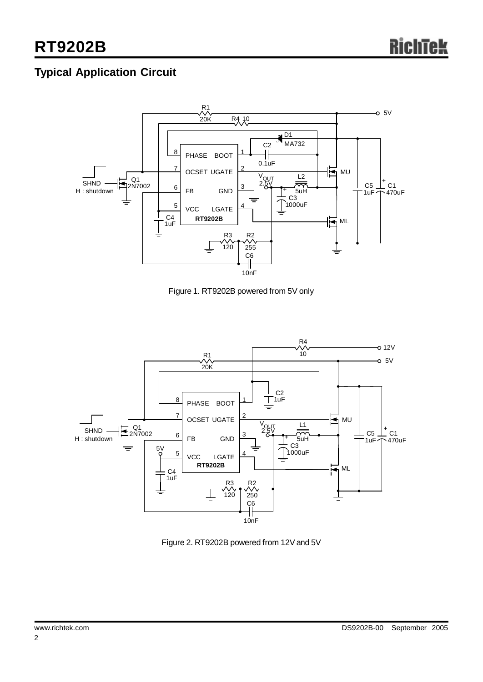# **Typical Application Circuit**



Figure 1. RT9202B powered from 5V only



Figure 2. RT9202B powered from 12V and 5V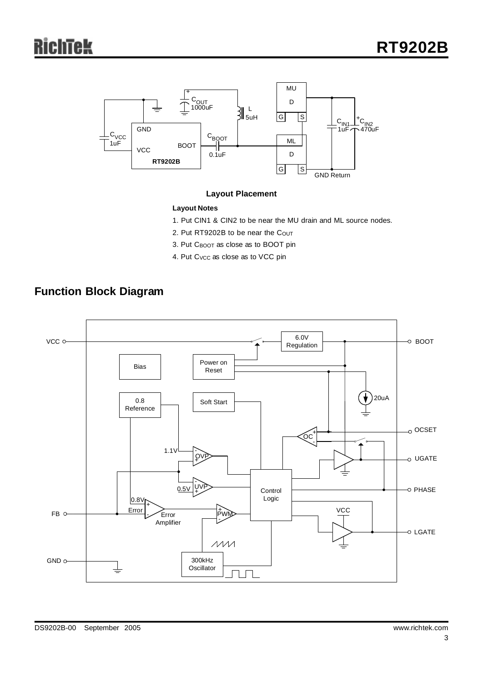

#### **Layout Placement**

#### **Layout Notes**

- 1. Put CIN1 & CIN2 to be near the MU drain and ML source nodes.
- 2. Put RT9202B to be near the COUT
- 3. Put CBOOT as close as to BOOT pin
- 4. Put C<sub>VCC</sub> as close as to VCC pin

# **Function Block Diagram**

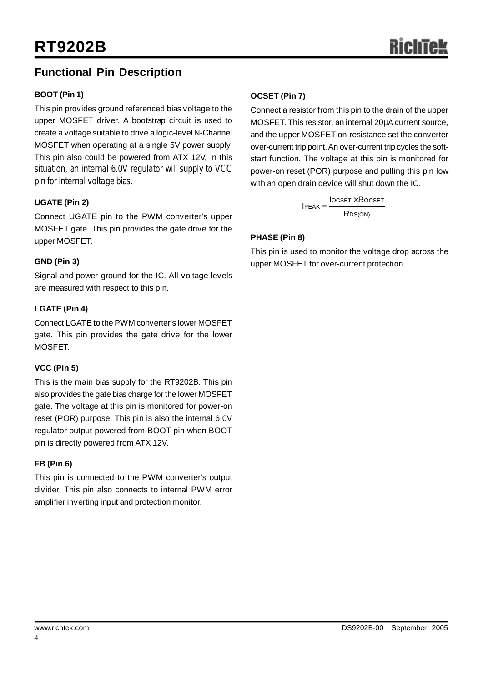# **Functional Pin Description**

#### **BOOT (Pin 1)**

This pin provides ground referenced bias voltage to the upper MOSFET driver. A bootstrap circuit is used to create a voltage suitable to drive a logic-level N-Channel MOSFET when operating at a single 5V power supply. This pin also could be powered from ATX 12V, in this situation, an internal 6.0V regulator will supply to VCC pin for internal voltage bias.

#### **UGATE (Pin 2)**

Connect UGATE pin to the PWM converter's upper MOSFET gate. This pin provides the gate drive for the upper MOSFET.

#### **GND (Pin 3)**

Signal and power ground for the IC. All voltage levels are measured with respect to this pin.

#### **LGATE (Pin 4)**

Connect LGATE to the PWM converter's lower MOSFET gate. This pin provides the gate drive for the lower MOSFET.

### **VCC (Pin 5)**

This is the main bias supply for the RT9202B. This pin also provides the gate bias charge for the lower MOSFET gate. The voltage at this pin is monitored for power-on reset (POR) purpose. This pin is also the internal 6.0V regulator output powered from BOOT pin when BOOT pin is directly powered from ATX 12V.

#### **FB (Pin 6)**

This pin is connected to the PWM converter's output divider. This pin also connects to internal PWM error amplifier inverting input and protection monitor.

#### **OCSET (Pin 7)**

Connect a resistor from this pin to the drain of the upper MOSFET. This resistor, an internal 20μA current source, and the upper MOSFET on-resistance set the converter over-current trip point.An over-current trip cycles the softstart function. The voltage at this pin is monitored for power-on reset (POR) purpose and pulling this pin low with an open drain device will shut down the IC.

> **IOCSET × ROCSET**  $IPEAK =$ R<sub>DS(ON)</sub>

#### **PHASE (Pin 8)**

This pin is used to monitor the voltage drop across the upper MOSFET for over-current protection.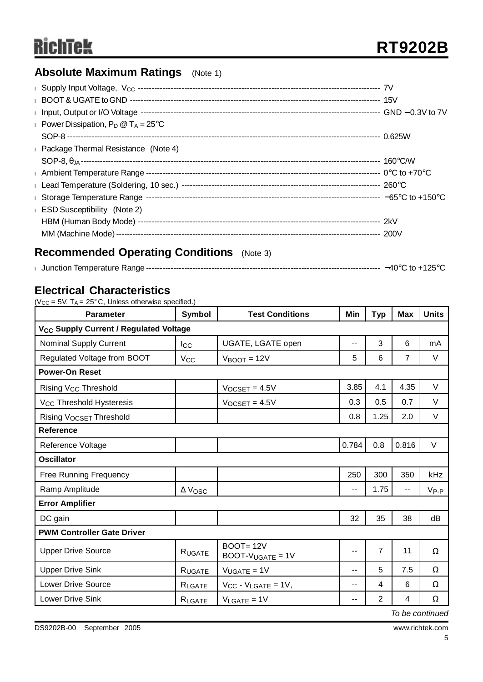# **Absolute Maximum Ratings** (Note 1)

| Power Dissipation, $P_D @ T_A = 25^{\circ}C$         |  |
|------------------------------------------------------|--|
|                                                      |  |
| <b>Example 2</b> Package Thermal Resistance (Note 4) |  |
|                                                      |  |
|                                                      |  |
|                                                      |  |
|                                                      |  |
| <b>ESD Susceptibility</b> (Note 2)                   |  |
|                                                      |  |
|                                                      |  |
|                                                      |  |

# **Recommended Operating Conditions** (Note 3)

|  | $+125^{\circ}$<br>–40°∩<br>$\sim$ to + $^{\circ}$ |
|--|---------------------------------------------------|
|--|---------------------------------------------------|

# **Electrical Characteristics**

(Vcc =  $5V$ , T<sub>A</sub> =  $25^{\circ}$ C, Unless otherwise specified.)

| <b>Parameter</b>                                   | Symbol                | <b>Test Conditions</b>                |       | <b>Typ</b>     | <b>Max</b>     | <b>Units</b> |  |  |
|----------------------------------------------------|-----------------------|---------------------------------------|-------|----------------|----------------|--------------|--|--|
| V <sub>CC</sub> Supply Current / Regulated Voltage |                       |                                       |       |                |                |              |  |  |
| <b>Nominal Supply Current</b>                      | $_{\text{loc}}$       | UGATE, LGATE open                     | --    | 3              | 6              | mA           |  |  |
| Regulated Voltage from BOOT                        | <b>V<sub>CC</sub></b> | $V_{\text{BOOT}} = 12V$               | 5     | 6              | $\overline{7}$ | $\vee$       |  |  |
| <b>Power-On Reset</b>                              |                       |                                       |       |                |                |              |  |  |
| Rising V <sub>CC</sub> Threshold                   |                       | $V_{OCSET} = 4.5V$                    | 3.85  | 4.1            | 4.35           | V            |  |  |
| V <sub>CC</sub> Threshold Hysteresis               |                       | $V_{OCSET} = 4.5V$                    | 0.3   | 0.5            | 0.7            | $\vee$       |  |  |
| Rising VOCSET Threshold                            |                       |                                       | 0.8   | 1.25           | 2.0            | $\vee$       |  |  |
| <b>Reference</b>                                   |                       |                                       |       |                |                |              |  |  |
| Reference Voltage                                  |                       |                                       | 0.784 | 0.8            | 0.816          | V            |  |  |
| <b>Oscillator</b>                                  |                       |                                       |       |                |                |              |  |  |
| <b>Free Running Frequency</b>                      |                       |                                       | 250   | 300            | 350            | kHz          |  |  |
| Ramp Amplitude                                     | $\Delta$ Vosc         |                                       | $- -$ | 1.75           | --             | $V_{P-P}$    |  |  |
| <b>Error Amplifier</b>                             |                       |                                       |       |                |                |              |  |  |
| DC gain                                            |                       |                                       | 32    | 35             | 38             | dB           |  |  |
| <b>PWM Controller Gate Driver</b>                  |                       |                                       |       |                |                |              |  |  |
| <b>Upper Drive Source</b>                          | RUGATE                | <b>BOOT=12V</b><br>$BOOT-VUGATE = 1V$ | $-$   | $\overline{7}$ | 11             | $\Omega$     |  |  |
| <b>Upper Drive Sink</b>                            | RUGATE                | $V_{UGATE} = 1V$                      | $-$   | 5              | 7.5            | Ω            |  |  |
| <b>Lower Drive Source</b>                          | RLGATE                | $V_{CC} - V_{LGATE} = 1V$ ,           | $-$   | 4              | 6              | Ω            |  |  |
| Lower Drive Sink                                   | RLGATE                | $V_{\text{LAGATE}} = 1V$              | $-$   | 2              | 4              | Ω            |  |  |

*To be continued*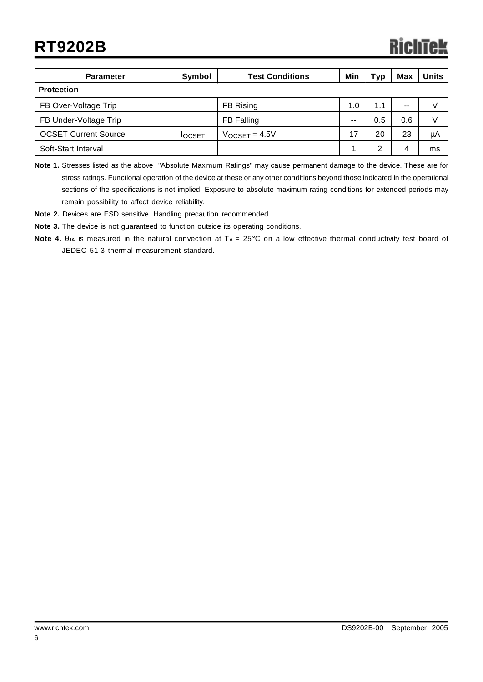| <b>Parameter</b>            | Symbol        | <b>Test Conditions</b> | Min | Тур | <b>Max</b> | <b>Units</b> |
|-----------------------------|---------------|------------------------|-----|-----|------------|--------------|
| <b>Protection</b>           |               |                        |     |     |            |              |
| FB Over-Voltage Trip        | FB Rising     |                        | 1.0 | 1.1 | $- -$      | V            |
| FB Under-Voltage Trip       |               | FB Falling             | $-$ | 0.5 | 0.6        | V            |
| <b>OCSET Current Source</b> | <b>IOCSET</b> | $V_{OCSET} = 4.5V$     | 17  | 20  | 23         | μA           |
| Soft-Start Interval         |               |                        |     | 2   | 4          | ms           |

**Note 1.** Stresses listed as the above "Absolute Maximum Ratings" may cause permanent damage to the device. These are for stress ratings. Functional operation of the device at these or any other conditions beyond those indicated in the operational sections of the specifications is not implied. Exposure to absolute maximum rating conditions for extended periods may remain possibility to affect device reliability.

**Note 2.** Devices are ESD sensitive. Handling precaution recommended.

**Note 3.** The device is not guaranteed to function outside its operating conditions.

**Note 4.** θ<sub>JA</sub> is measured in the natural convection at T<sub>A</sub> = 25°C on a low effective thermal conductivity test board of JEDEC 51-3 thermal measurement standard.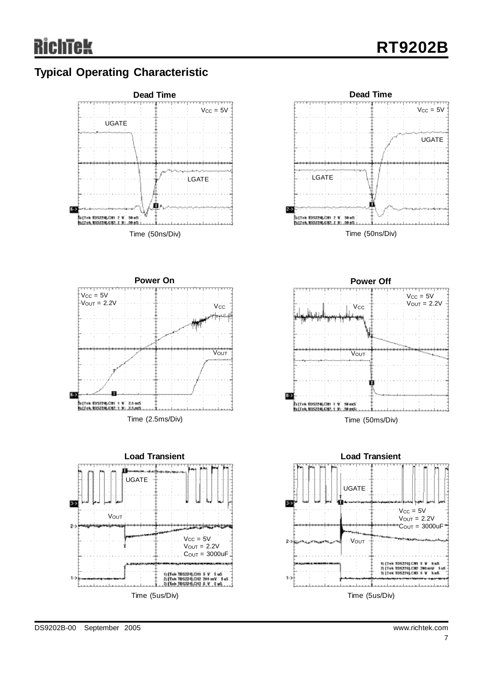# **Typical Operating Characteristic**

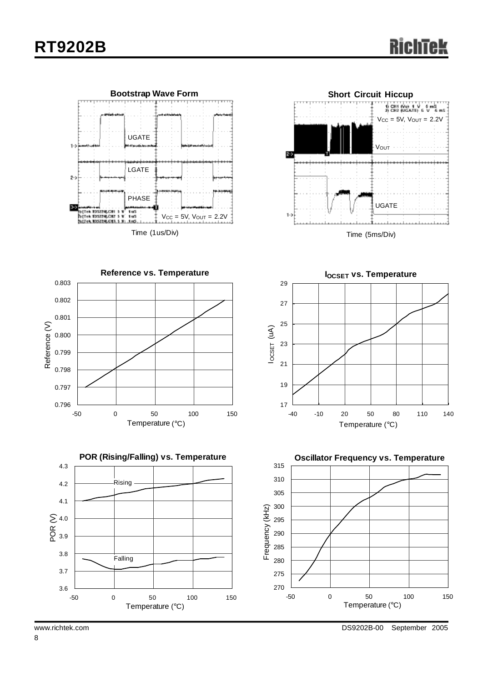



Time (5ms/Div)





**IOCSET vs. Temperature** 17 19 21 23 25 27 29 -40 -10 20 50 80 110 140 Temperature (°C)IOCSET (uA)

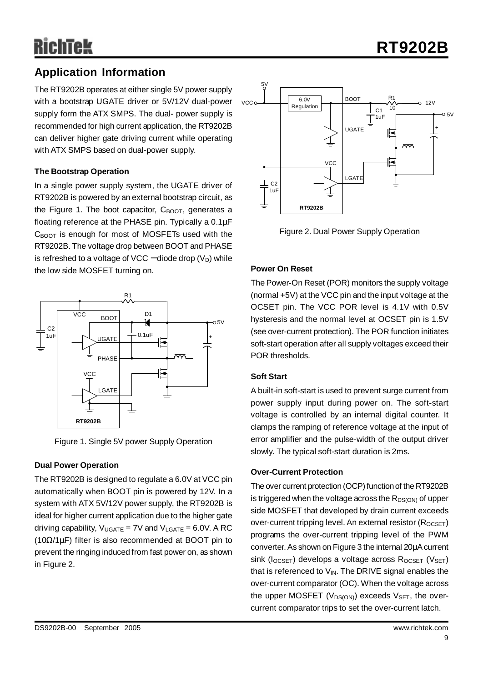# **Application Information**

The RT9202B operates at either single 5V power supply with a bootstrap UGATE driver or 5V/12V dual-power supply form the ATX SMPS. The dual- power supply is recommended for high current application, the RT9202B can deliver higher gate driving current while operating with ATX SMPS based on dual-power supply.

#### **The Bootstrap Operation**

In a single power supply system, the UGATE driver of RT9202B is powered by an external bootstrap circuit, as the Figure 1. The boot capacitor,  $C_{\text{BOOT}}$ , generates a floating reference at the PHASE pin. Typically a 0.1μF  $C_{\text{BOOT}}$  is enough for most of MOSFETs used with the RT9202B. The voltage drop between BOOT and PHASE is refreshed to a voltage of VCC – diode drop  $(V_D)$  while the low side MOSFET turning on.



Figure 1. Single 5V power Supply Operation

### **Dual Power Operation**

The RT9202B is designed to regulate a 6.0V at VCC pin automatically when BOOT pin is powered by 12V. In a system with ATX 5V/12V power supply, the RT9202B is ideal for higher current application due to the higher gate driving capability,  $V_{UGATE} = 7V$  and  $V_{LGATE} = 6.0V$ . A RC (10Ω/1μF) filter is also recommended at BOOT pin to prevent the ringing induced from fast power on, as shown in Figure 2.



Figure 2. Dual Power Supply Operation

#### **Power On Reset**

The Power-On Reset (POR) monitors the supply voltage (normal +5V) at the VCC pin and the input voltage at the OCSET pin. The VCC POR level is 4.1V with 0.5V hysteresis and the normal level at OCSET pin is 1.5V (see over-current protection). The POR function initiates soft-start operation after all supply voltages exceed their POR thresholds.

#### **Soft Start**

A built-in soft-start is used to prevent surge current from power supply input during power on. The soft-start voltage is controlled by an internal digital counter. It clamps the ramping of reference voltage at the input of error amplifier and the pulse-width of the output driver slowly. The typical soft-start duration is 2ms.

#### **Over-Current Protection**

The over current protection (OCP) function of the RT9202B is triggered when the voltage across the  $R_{DS(ON)}$  of upper side MOSFET that developed by drain current exceeds over-current tripping level. An external resistor  $(R_{OCSET})$ programs the over-current tripping level of the PWM converter.As shown on Figure 3 the internal 20μAcurrent sink ( $I_{OCSET}$ ) develops a voltage across  $R_{OCSET}$  ( $V_{SET}$ ) that is referenced to  $V_{IN}$ . The DRIVE signal enables the over-current comparator (OC). When the voltage across the upper MOSFET ( $V_{DS(ON)}$ ) exceeds  $V_{SET}$ , the overcurrent comparator trips to set the over-current latch.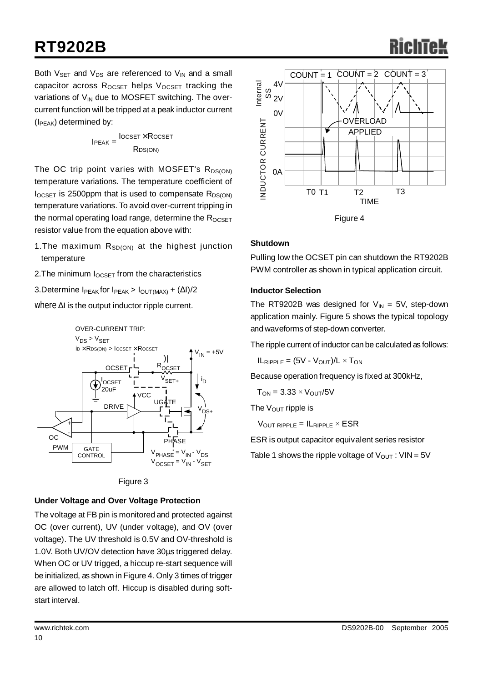# **RT9202B**

Both  $V_{\text{SET}}$  and  $V_{\text{DS}}$  are referenced to  $V_{\text{IN}}$  and a small capacitor across  $R_{OCSET}$  helps  $V_{OCSET}$  tracking the variations of  $V_{IN}$  due to MOSFET switching. The overcurrent function will be tripped at a peak inductor current  $(I_{PEAK})$  determined by:

$$
IPEAK = \frac{Iocset \times Rocset}{RDS(ON)}
$$

The OC trip point varies with MOSFET's  $R_{DS(ON)}$ temperature variations. The temperature coefficient of  $I_{OCSET}$  is 2500ppm that is used to compensate  $R_{DS(ON)}$ temperature variations. To avoid over-current tripping in the normal operating load range, determine the  $R_{OCSFT}$ resistor value from the equation above with:

- 1. The maximum  $R_{SD(ON)}$  at the highest junction temperature
- 2. The minimum  $I_{OCSET}$  from the characteristics
- 3.Determine  $I_{PEAK}$  for  $I_{PEAK}$  >  $I_{OUT(MAX)} + (\Delta I)/2$

where  $\Delta I$  is the output inductor ripple current.





### **Under Voltage and Over Voltage Protection**

The voltage at FB pin is monitored and protected against OC (over current), UV (under voltage), and OV (over voltage). The UV threshold is 0.5V and OV-threshold is 1.0V. Both UV/OV detection have 30μs triggered delay. When OC or UV trigged, a hiccup re-start sequence will be initialized, as shown in Figure 4. Only 3 times of trigger are allowed to latch off. Hiccup is disabled during softstart interval.



#### **Shutdown**

Pulling low the OCSET pin can shutdown the RT9202B PWM controller as shown in typical application circuit.

#### **Inductor Selection**

The RT9202B was designed for  $V_{IN} = 5V$ , step-down application mainly. Figure 5 shows the typical topology and waveforms of step-down converter.

The ripple current of inductor can be calculated as follows:

 $IL_{RIPPLE} = (5V - V_{OUT})/L \times T_{ON}$ 

Because operation frequency is fixed at 300kHz,

 $T_{ON} = 3.33 \times V_{OUT}/5V$ 

The  $V_{\text{OUT}}$  ripple is

 $V_{\text{OUT RIPPLE}} = I_{\text{RIPPLE}} \times ESR$ 

ESR is output capacitor equivalent series resistor

Table 1 shows the ripple voltage of  $V_{OUT}$ :  $VIN = 5V$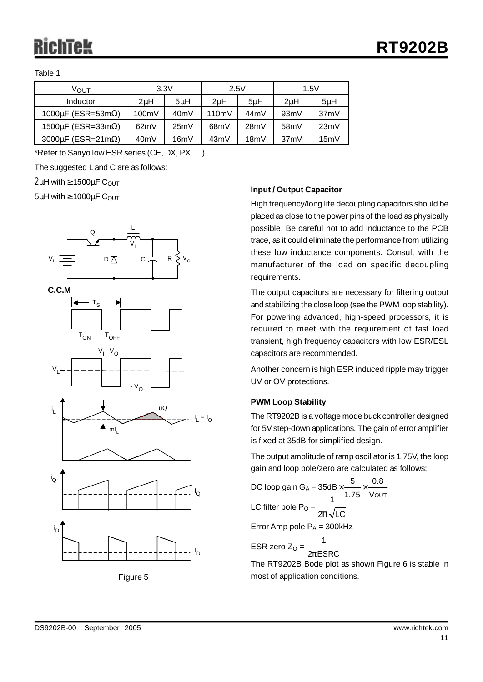Table 1

| ∨ουτ                             | 3.3V             |      | 2.5V              |      | 1.5V              |         |  |
|----------------------------------|------------------|------|-------------------|------|-------------------|---------|--|
| Inductor                         | 2 <sub>u</sub> H | 5uH  | 2uH               | 5uH  | 2 <sub>u</sub> H  | $5\muH$ |  |
| 1000 $\mu$ F (ESR=53m $\Omega$ ) | 100mV            | 40mV | 110mV             | 44mV | 93mV              | 37mV    |  |
| 1500 $\mu$ F (ESR=33m $\Omega$ ) | 62mV             | 25mV | 68 <sub>m</sub> V | 28mV | 58 <sub>m</sub> V | 23mV    |  |
| 3000 $\mu$ F (ESR=21m $\Omega$ ) | 40mV             | 16mV | 43mV              | 18mV | 37mV              | 15mV    |  |

\*Refer to Sanyo low ESR series (CE, DX, PX.....)

The suggested L and C are as follows:

 $2\mu$ H with  $\geq 1500\mu$ F COUT

 $5\mu$ H with  $\geq 1000\mu$ F C<sub>OUT</sub>







ID

#### **Input / Output Capacitor**

High frequency/long life decoupling capacitors should be placed as close to the power pins of the load as physically possible. Be careful not to add inductance to the PCB trace, as it could eliminate the performance from utilizing these low inductance components. Consult with the manufacturer of the load on specific decoupling requirements.

The output capacitors are necessary for filtering output and stabilizing the close loop (see thePWM loop stability). For powering advanced, high-speed processors, it is required to meet with the requirement of fast load transient, high frequency capacitors with low ESR/ESL capacitors are recommended.

Another concern is high ESR induced ripple may trigger UV or OV protections.

#### **PWM Loop Stability**

The RT9202B is a voltage mode buck controller designed for 5V step-down applications. The gain of error amplifier is fixed at 35dB for simplified design.

The output amplitude of ramp oscillator is 1.75V, the loop gain and loop pole/zero are calculated as follows:

DC loop gain G<sub>A</sub> =  $35dB \times$  —  $\times$ LC filter pole P<sub>O</sub> =  $\frac{1}{2p\sqrt{\text{LC}}}$ Error Amp pole  $P_A = 300$ kHz OUT  $35$ d $\textsf{B}\times$   $\overset{\textsf{5}}{\textsf{--}}\times$   $\overset{\textsf{0.8}}{\textsf{--}}}$ 1.75 V 1 1

ESR zero Z $_{\mathrm{O}}$  =  $\frac{\ }{\mathrm{2}p}% \left\{ \sqrt{\frac{p_{\mathrm{O}}+p_{\mathrm{O}}+p_{\mathrm{O}}+p_{\mathrm{O}}+p_{\mathrm{O}}+p_{\mathrm{O}}+p_{\mathrm{O}}+p_{\mathrm{O}}+p_{\mathrm{O}}+p_{\mathrm{O}}+p_{\mathrm{O}}+p_{\mathrm{O}}+p_{\mathrm{O}}+p_{\mathrm{O}}+p_{\mathrm{O}}+p_{\mathrm{O}}+p_{\mathrm{O}}+p_{\mathrm{O}}+p_{\mathrm{O}}+p_{\mathrm{O}}+p_{\mathrm{O}}+p_{\mathrm{O}}+p_{\$  $2p$ ESRC

The RT9202B Bode plot as shown Figure 6 is stable in most of application conditions.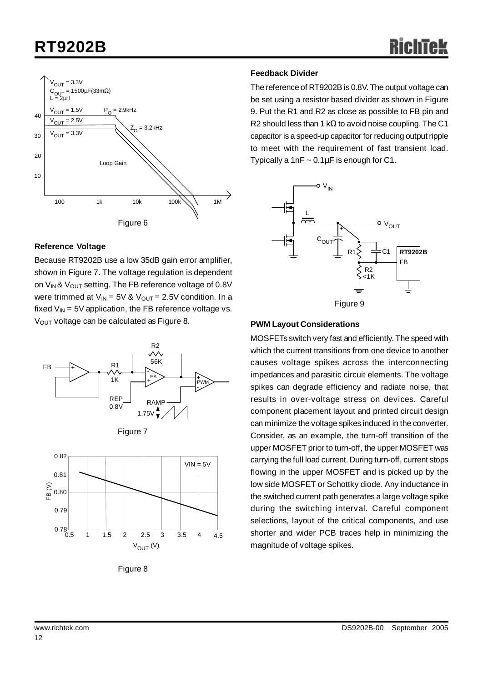# **RT9202B**



#### **Reference Voltage**

Because RT9202B use a low 35dB gain error amplifier, shown in Figure 7. The voltage regulation is dependent on  $V_{IN}$ &  $V_{OUT}$  setting. The FB reference voltage of 0.8V were trimmed at  $V_{IN} = 5V$  &  $V_{OUT} = 2.5V$  condition. In a fixed  $V_{IN}$  = 5V application, the FB reference voltage vs. V<sub>OUT</sub> voltage can be calculated as Figure 8.





Figure 8

#### **Feedback Divider**

The reference of RT9202B is 0.8V. The output voltage can be set using a resistor based divider as shown in Figure 9. Put the R1 and R2 as close as possible to FB pin and R2 should less than 1 kΩ to avoid noise coupling. The C1 capacitor is a speed-up capacitor for reducing output ripple to meet with the requirement of fast transient load. Typically a 1nF  $\sim 0.1 \mu$ F is enough for C1.



### **PWM Layout Considerations**

MOSFETs switch very fast and efficiently. The speed with which the current transitions from one device to another causes voltage spikes across the interconnecting impedances and parasitic circuit elements. The voltage spikes can degrade efficiency and radiate noise, that results in over-voltage stress on devices. Careful component placement layout and printed circuit design can minimize the voltage spikes induced in the converter. Consider, as an example, the turn-off transition of the upper MOSFET prior to turn-off, the upper MOSFET was carrying the full load current. During turn-off, current stops flowing in the upper MOSFET and is picked up by the low side MOSFET or Schottky diode. Any inductance in the switched current path generates a large voltage spike during the switching interval. Careful component selections, layout of the critical components, and use shorter and wider PCB traces help in minimizing the magnitude of voltage spikes.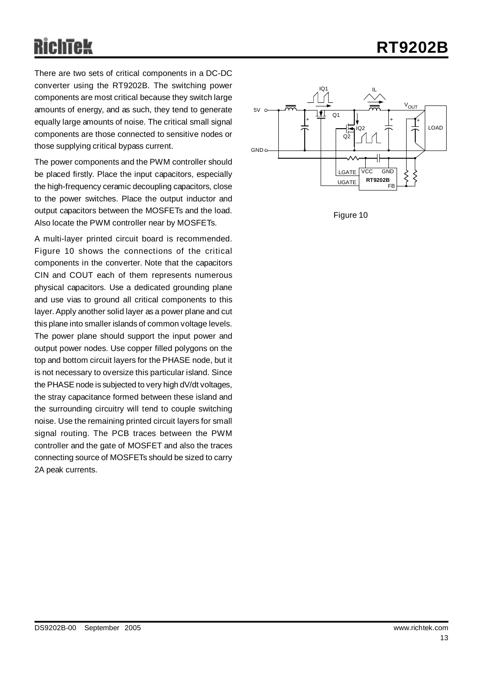# **RT9202B**

There are two sets of critical components in a DC-DC converter using the RT9202B. The switching power components are most critical because they switch large amounts of energy, and as such, they tend to generate equally large amounts of noise. The critical small signal components are those connected to sensitive nodes or those supplying critical bypass current.

The power components and the PWM controller should be placed firstly. Place the input capacitors, especially the high-frequency ceramic decoupling capacitors, close to the power switches. Place the output inductor and output capacitors between the MOSFETs and the load. Also locate the PWM controller near by MOSFETs.

A multi-layer printed circuit board is recommended. Figure 10 shows the connections of the critical components in the converter. Note that the capacitors CIN and COUT each of them represents numerous physical capacitors. Use a dedicated grounding plane and use vias to ground all critical components to this layer. Apply another solid layer as a power plane and cut this plane into smaller islands of common voltage levels. The power plane should support the input power and output power nodes. Use copper filled polygons on the top and bottom circuit layers for the PHASE node, but it is not necessary to oversize this particular island. Since the PHASE node is subjected to very high dV/dt voltages, the stray capacitance formed between these island and the surrounding circuitry will tend to couple switching noise. Use the remaining printed circuit layers for small signal routing. The PCB traces between the PWM controller and the gate of MOSFET and also the traces connecting source of MOSFETs should be sized to carry 2A peak currents.



Figure 10